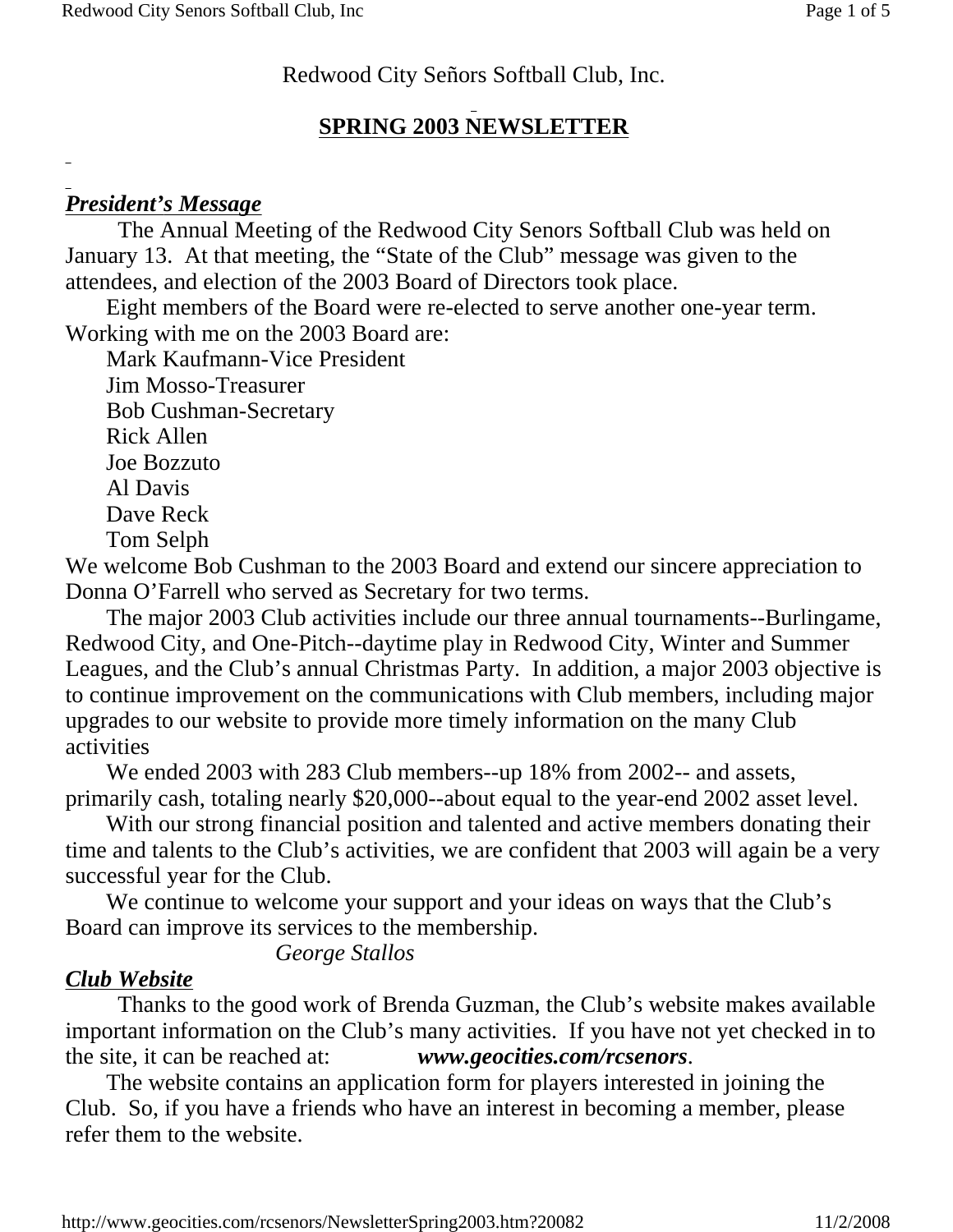### Redwood City Señors Softball Club, Inc.

# **SPRING 2003 NEWSLETTER**

# *President's Message*

The Annual Meeting of the Redwood City Senors Softball Club was held on January 13. At that meeting, the "State of the Club" message was given to the attendees, and election of the 2003 Board of Directors took place.

 Eight members of the Board were re-elected to serve another one-year term. Working with me on the 2003 Board are:

 Mark Kaufmann-Vice President Jim Mosso-Treasurer Bob Cushman-Secretary Rick Allen Joe Bozzuto Al Davis Dave Reck Tom Selph

We welcome Bob Cushman to the 2003 Board and extend our sincere appreciation to Donna O'Farrell who served as Secretary for two terms.

 The major 2003 Club activities include our three annual tournaments--Burlingame, Redwood City, and One-Pitch--daytime play in Redwood City, Winter and Summer Leagues, and the Club's annual Christmas Party. In addition, a major 2003 objective is to continue improvement on the communications with Club members, including major upgrades to our website to provide more timely information on the many Club activities

 We ended 2003 with 283 Club members--up 18% from 2002-- and assets, primarily cash, totaling nearly \$20,000--about equal to the year-end 2002 asset level.

 With our strong financial position and talented and active members donating their time and talents to the Club's activities, we are confident that 2003 will again be a very successful year for the Club.

We continue to welcome your support and your ideas on ways that the Club's Board can improve its services to the membership.

*George Stallos*

# *Club Website*

Thanks to the good work of Brenda Guzman, the Club's website makes available important information on the Club's many activities. If you have not yet checked in to the site, it can be reached at: *www.geocities.com/rcsenors*.

 The website contains an application form for players interested in joining the Club. So, if you have a friends who have an interest in becoming a member, please refer them to the website.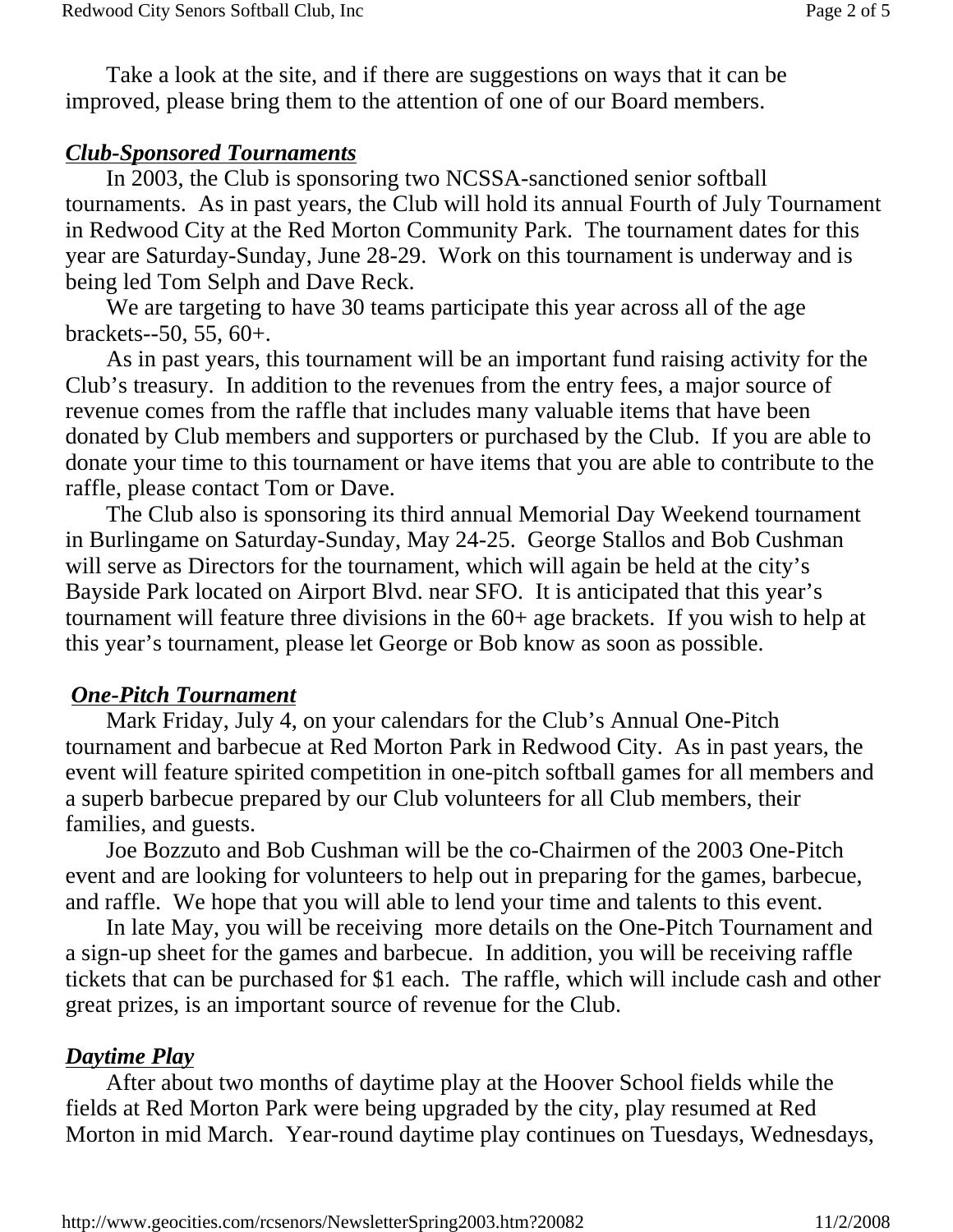Take a look at the site, and if there are suggestions on ways that it can be improved, please bring them to the attention of one of our Board members.

### *Club-Sponsored Tournaments*

 In 2003, the Club is sponsoring two NCSSA-sanctioned senior softball tournaments. As in past years, the Club will hold its annual Fourth of July Tournament in Redwood City at the Red Morton Community Park. The tournament dates for this year are Saturday-Sunday, June 28-29. Work on this tournament is underway and is being led Tom Selph and Dave Reck.

 We are targeting to have 30 teams participate this year across all of the age brackets--50, 55, 60+.

 As in past years, this tournament will be an important fund raising activity for the Club's treasury. In addition to the revenues from the entry fees, a major source of revenue comes from the raffle that includes many valuable items that have been donated by Club members and supporters or purchased by the Club. If you are able to donate your time to this tournament or have items that you are able to contribute to the raffle, please contact Tom or Dave.

 The Club also is sponsoring its third annual Memorial Day Weekend tournament in Burlingame on Saturday-Sunday, May 24-25. George Stallos and Bob Cushman will serve as Directors for the tournament, which will again be held at the city's Bayside Park located on Airport Blvd. near SFO. It is anticipated that this year's tournament will feature three divisions in the 60+ age brackets. If you wish to help at this year's tournament, please let George or Bob know as soon as possible.

### *One-Pitch Tournament*

 Mark Friday, July 4, on your calendars for the Club's Annual One-Pitch tournament and barbecue at Red Morton Park in Redwood City. As in past years, the event will feature spirited competition in one-pitch softball games for all members and a superb barbecue prepared by our Club volunteers for all Club members, their families, and guests.

 Joe Bozzuto and Bob Cushman will be the co-Chairmen of the 2003 One-Pitch event and are looking for volunteers to help out in preparing for the games, barbecue, and raffle. We hope that you will able to lend your time and talents to this event.

 In late May, you will be receiving more details on the One-Pitch Tournament and a sign-up sheet for the games and barbecue. In addition, you will be receiving raffle tickets that can be purchased for \$1 each. The raffle, which will include cash and other great prizes, is an important source of revenue for the Club.

# *Daytime Play*

 After about two months of daytime play at the Hoover School fields while the fields at Red Morton Park were being upgraded by the city, play resumed at Red Morton in mid March. Year-round daytime play continues on Tuesdays, Wednesdays,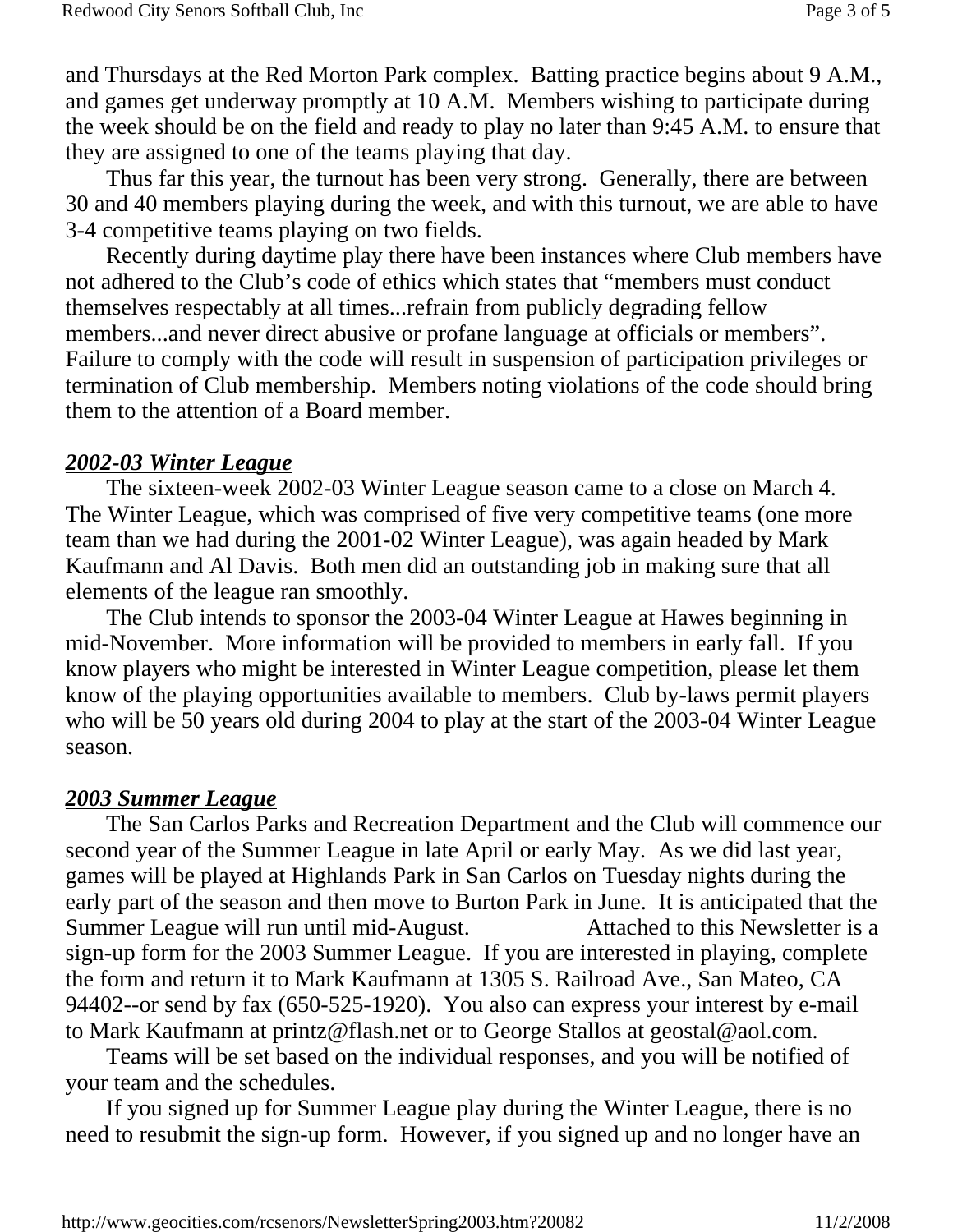and Thursdays at the Red Morton Park complex. Batting practice begins about 9 A.M., and games get underway promptly at 10 A.M. Members wishing to participate during the week should be on the field and ready to play no later than 9:45 A.M. to ensure that they are assigned to one of the teams playing that day.

 Thus far this year, the turnout has been very strong. Generally, there are between 30 and 40 members playing during the week, and with this turnout, we are able to have 3-4 competitive teams playing on two fields.

 Recently during daytime play there have been instances where Club members have not adhered to the Club's code of ethics which states that "members must conduct themselves respectably at all times...refrain from publicly degrading fellow members...and never direct abusive or profane language at officials or members". Failure to comply with the code will result in suspension of participation privileges or termination of Club membership. Members noting violations of the code should bring them to the attention of a Board member.

#### *2002-03 Winter League*

 The sixteen-week 2002-03 Winter League season came to a close on March 4. The Winter League, which was comprised of five very competitive teams (one more team than we had during the 2001-02 Winter League), was again headed by Mark Kaufmann and Al Davis. Both men did an outstanding job in making sure that all elements of the league ran smoothly.

 The Club intends to sponsor the 2003-04 Winter League at Hawes beginning in mid-November. More information will be provided to members in early fall. If you know players who might be interested in Winter League competition, please let them know of the playing opportunities available to members. Club by-laws permit players who will be 50 years old during 2004 to play at the start of the 2003-04 Winter League season.

#### *2003 Summer League*

 The San Carlos Parks and Recreation Department and the Club will commence our second year of the Summer League in late April or early May. As we did last year, games will be played at Highlands Park in San Carlos on Tuesday nights during the early part of the season and then move to Burton Park in June. It is anticipated that the Summer League will run until mid-August. Attached to this Newsletter is a sign-up form for the 2003 Summer League. If you are interested in playing, complete the form and return it to Mark Kaufmann at 1305 S. Railroad Ave., San Mateo, CA 94402--or send by fax (650-525-1920). You also can express your interest by e-mail to Mark Kaufmann at printz@flash.net or to George Stallos at geostal@aol.com.

 Teams will be set based on the individual responses, and you will be notified of your team and the schedules.

 If you signed up for Summer League play during the Winter League, there is no need to resubmit the sign-up form. However, if you signed up and no longer have an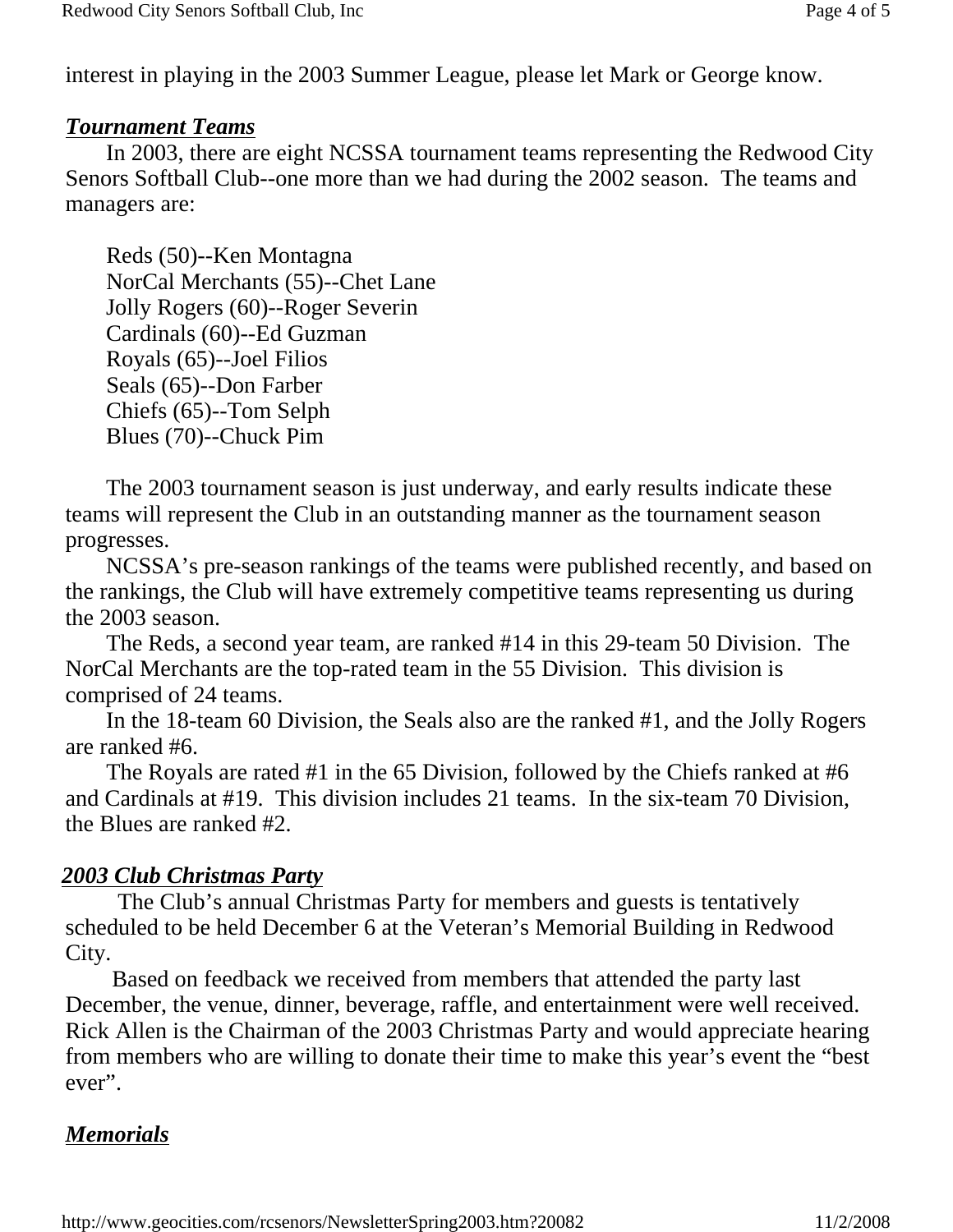interest in playing in the 2003 Summer League, please let Mark or George know.

#### *Tournament Teams*

 In 2003, there are eight NCSSA tournament teams representing the Redwood City Senors Softball Club--one more than we had during the 2002 season. The teams and managers are:

 Reds (50)--Ken Montagna NorCal Merchants (55)--Chet Lane Jolly Rogers (60)--Roger Severin Cardinals (60)--Ed Guzman Royals (65)--Joel Filios Seals (65)--Don Farber Chiefs (65)--Tom Selph Blues (70)--Chuck Pim

 The 2003 tournament season is just underway, and early results indicate these teams will represent the Club in an outstanding manner as the tournament season progresses.

 NCSSA's pre-season rankings of the teams were published recently, and based on the rankings, the Club will have extremely competitive teams representing us during the 2003 season.

 The Reds, a second year team, are ranked #14 in this 29-team 50 Division. The NorCal Merchants are the top-rated team in the 55 Division. This division is comprised of 24 teams.

 In the 18-team 60 Division, the Seals also are the ranked #1, and the Jolly Rogers are ranked #6.

 The Royals are rated #1 in the 65 Division, followed by the Chiefs ranked at #6 and Cardinals at #19. This division includes 21 teams. In the six-team 70 Division, the Blues are ranked #2.

### *2003 Club Christmas Party*

The Club's annual Christmas Party for members and guests is tentatively scheduled to be held December 6 at the Veteran's Memorial Building in Redwood City.

 Based on feedback we received from members that attended the party last December, the venue, dinner, beverage, raffle, and entertainment were well received. Rick Allen is the Chairman of the 2003 Christmas Party and would appreciate hearing from members who are willing to donate their time to make this year's event the "best ever".

# *Memorials*